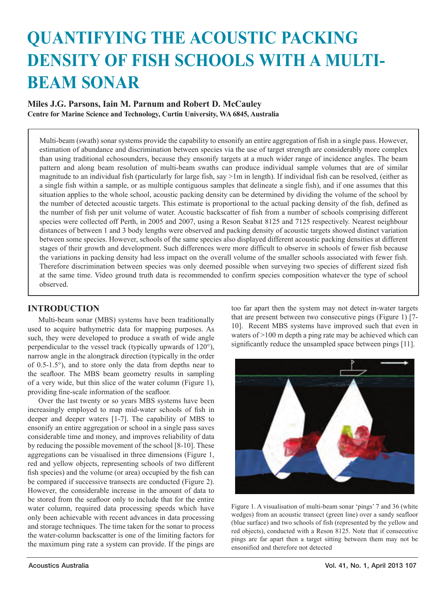# **QUANTIFYING THE ACOUSTIC PACKING DENSITY OF FISH SCHOOLS WITH A MULTI-BEAM SONAR**

# **Miles J.G. Parsons, Iain M. Parnum and Robert D. McCauley Centre for Marine Science and Technology, Curtin University, WA 6845, Australia**

Multi-beam (swath) sonar systems provide the capability to ensonify an entire aggregation of fish in a single pass. However, estimation of abundance and discrimination between species via the use of target strength are considerably more complex than using traditional echosounders, because they ensonify targets at a much wider range of incidence angles. The beam pattern and along beam resolution of multi-beam swaths can produce individual sample volumes that are of similar magnitude to an individual fish (particularly for large fish, say >1m in length). If individual fish can be resolved, (either as a single fish within a sample, or as multiple contiguous samples that delineate a single fish), and if one assumes that this situation applies to the whole school, acoustic packing density can be determined by dividing the volume of the school by the number of detected acoustic targets. This estimate is proportional to the actual packing density of the fish, defined as the number of fish per unit volume of water. Acoustic backscatter of fish from a number of schools comprising different species were collected off Perth, in 2005 and 2007, using a Reson Seabat 8125 and 7125 respectively. Nearest neighbour distances of between 1 and 3 body lengths were observed and packing density of acoustic targets showed distinct variation between some species. However, schools of the same species also displayed different acoustic packing densities at different stages of their growth and development. Such differences were more difficult to observe in schools of fewer fish because the variations in packing density had less impact on the overall volume of the smaller schools associated with fewer fish. Therefore discrimination between species was only deemed possible when surveying two species of different sized fish at the same time. Video ground truth data is recommended to confirm species composition whatever the type of school observed.

## **INTRODUCTION**

Multi-beam sonar (MBS) systems have been traditionally used to acquire bathymetric data for mapping purposes. As such, they were developed to produce a swath of wide angle perpendicular to the vessel track (typically upwards of 120°), narrow angle in the alongtrack direction (typically in the order of 0.5-1.5°), and to store only the data from depths near to the seafloor. The MBS beam geometry results in sampling of a very wide, but thin slice of the water column (Figure 1), providing fine-scale information of the seafloor.

Over the last twenty or so years MBS systems have been increasingly employed to map mid-water schools of fish in deeper and deeper waters [1-7]. The capability of MBS to ensonify an entire aggregation or school in a single pass saves considerable time and money, and improves reliability of data by reducing the possible movement of the school [8-10]. These aggregations can be visualised in three dimensions (Figure 1, red and yellow objects, representing schools of two different fish species) and the volume (or area) occupied by the fish can be compared if successive transects are conducted (Figure 2). However, the considerable increase in the amount of data to be stored from the seafloor only to include that for the entire water column, required data processing speeds which have only been achievable with recent advances in data processing and storage techniques. The time taken for the sonar to process the water-column backscatter is one of the limiting factors for the maximum ping rate a system can provide. If the pings are too far apart then the system may not detect in-water targets that are present between two consecutive pings (Figure 1) [7- 10]. Recent MBS systems have improved such that even in waters of >100 m depth a ping rate may be achieved which can significantly reduce the unsampled space between pings [11].



Figure 1. A visualisation of multi-beam sonar 'pings' 7 and 36 (white wedges) from an acoustic transect (green line) over a sandy seafloor (blue surface) and two schools of fish (represented by the yellow and red objects), conducted with a Reson 8125. Note that if consecutive pings are far apart then a target sitting between them may not be ensonified and therefore not detected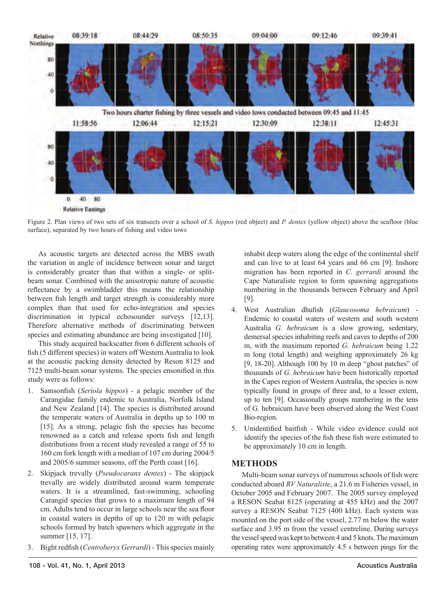

Figure 2. Plan views of two sets of six transects over a school of *S. hippos* (red object) and *P. dentex* (yellow object) above the seafloor (blue surface), separated by two hours of fishing and video tows

As acoustic targets are detected across the MBS swath the variation in angle of incidence between sonar and target is considerably greater than that within a single- or splitbeam sonar. Combined with the anisotropic nature of acoustic reflectance by a swimbladder this means the relationship between fish length and target strength is considerably more complex than that used for echo-integration and species discrimination in typical echosounder surveys [12,13]. Therefore alternative methods of discriminating between species and estimating abundance are being investigated [10].

This study acquired backscatter from 6 different schools of fish (5 different species) in waters off Western Australia to look at the acoustic packing density detected by Reson 8125 and 7125 multi-beam sonar systems. The species ensonified in this study were as follows:

- 1. Samsonfish (*Seriola hippos*) a pelagic member of the Carangidae family endemic to Australia, Norfolk Island and New Zealand [14]. The species is distributed around the temperate waters of Australia in depths up to 100 m [15]. As a strong, pelagic fish the species has become renowned as a catch and release sports fish and length distributions from a recent study revealed a range of 55 to 160 cm fork length with a median of 107 cm during 2004/5 and 2005/6 summer seasons, off the Perth coast [16].
- 2. Skipjack trevally (*Pseudocaranx dentex*) The skipjack trevally are widely distributed around warm temperate waters. It is a streamlined, fast-swimming, schooling Carangid species that grows to a maximum length of 94 cm. Adults tend to occur in large schools near the sea floor in coastal waters in depths of up to 120 m with pelagic schools formed by batch spawners which aggregate in the summer [15, 17].
- 3. Bight redfish (*Centroberyx Gerrardi*) This species mainly

inhabit deep waters along the edge of the continental shelf and can live to at least 64 years and 66 cm [9]. Inshore migration has been reported in *C. gerrardi* around the Cape Naturaliste region to form spawning aggregations numbering in the thousands between February and April [9].

- 4. West Australian dhufish (Glaucosoma hebraicum) -Endemic to coastal waters of western and south western Australia *G. hebraicum* is a slow growing, sedentary, demersal species inhabiting reefs and caves to depths of 200 m, with the maximum reported *G. hebraicum* being 1.22 m long (total length) and weighing approximately 26 kg [9, 18-20]. Although 100 by 10 m deep "ghost patches" of thousands of *G. hebraicum* have been historically reported in the Capes region of Western Australia, the species is now typically found in groups of three and, to a lesser extent, up to ten [9]. Occasionally groups numbering in the tens of G. hebraicum have been observed along the West Coast Bio-region.
- 5. Unidentified baitfish While video evidence could not identify the species of the fish these fish were estimated to be approximately 10 cm in length.

### **METHODS**

Multi-beam sonar surveys of numerous schools of fish were conducted aboard *RV Naturaliste*, a 21.6 m Fisheries vessel, in October 2005 and February 2007. The 2005 survey employed a RESON Seabat 8125 (operating at 455 kHz) and the 2007 survey a RESON Seabat 7125 (400 kHz). Each system was mounted on the port side of the vessel, 2.77 m below the water surface and 3.95 m from the vessel centreline. During surveys the vessel speed was kept to between 4 and 5 knots. The maximum operating rates were approximately 4.5 s between pings for the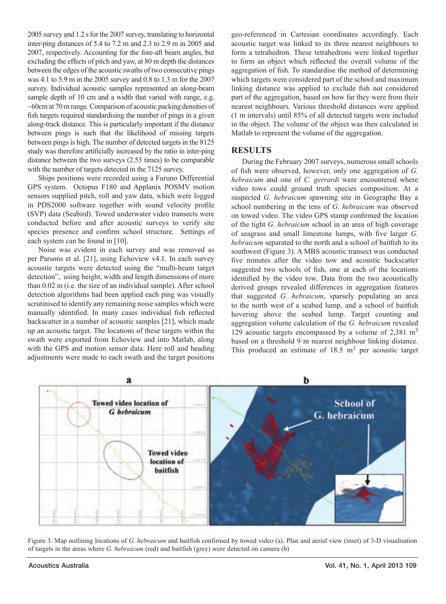2005 survey and 1.2 s for the 2007 survey, translating to horizontal inter-ping distances of 5.4 to 7.2 m and 2.3 to 2.9 m in 2005 and 2007, respectively. Accounting for the fore-aft beam angles, but excluding the effects of pitch and yaw, at 80 m depth the distances between the edges of the acoustic swaths of two consecutive pings was 4.1 to 5.9 m in the 2005 survey and 0.8 to 1.3 m for the 2007 survey. Individual acoustic samples represented an along-beam sample depth of 10 cm and a width that varied with range, e.g. ~60cm at 70 m range. Comparison of acoustic packing densities of fish targets required standardising the number of pings in a given along-track distance. This is particularly important if the distance between pings is such that the likelihood of missing targets between pings is high. The number of detected targets in the 8125 study was therefore artificially increased by the ratio in inter-ping distance between the two surveys (2.53 times) to be comparable with the number of targets detected in the 7125 survey.

Ships positions were recorded using a Furuno Differential GPS system. Octopus F180 and Applanix POSMV motion sensors supplied pitch, roll and yaw data, which were logged in PDS2000 software together with sound velocity profile (SVP) data (Seabird). Towed underwater video transects were conducted before and after acoustic surveys to verify site species presence and confirm school structure. Settings of each system can be found in [10].

Noise was evident in each survey and was removed as per Parsons et al. [21], using Echoview v4.1. In each survey acoustic targets were detected using the "multi-beam target detection", using height, width and length dimensions of more than 0.02 m (i.e. the size of an individual sample). After school detection algorithms had been applied each ping was visually scrutinised to identify any remaining noise samples which were manually identified. In many cases individual fish reflected backscatter in a number of acoustic samples [21], which made up an acoustic target. The locations of these targets within the swath were exported from Echoview and into Matlab, along with the GPS and motion sensor data. Here roll and heading adjustments were made to each swath and the target positions geo-referenced in Cartesian coordinates accordingly. Each acoustic target was linked to its three nearest neighbours to form a tetrahedron. These tetrahedrons were linked together to form an object which reflected the overall volume of the aggregation of fish. To standardise the method of determining which targets were considered part of the school and maximum linking distance was applied to exclude fish not considered part of the aggregation, based on how far they were from their nearest neighbours. Various threshold distances were applied (1 m intervals) until 85% of all detected targets were included in the object. The volume of the object was then calculated in Matlab to represent the volume of the aggregation.

### **RESULTS**

During the February 2007 surveys, numerous small schools of fish were observed, however, only one aggregation of *G*. *hebraicum* and one of *C. gerrardi* were encountered where video tows could ground truth species composition. At a suspected *G. hebraicum* spawning site in Geographe Bay a school numbering in the tens of *G. hebraicum* was observed on towed video. The video GPS stamp confirmed the location of the tight *G. hebraicum* school in an area of high coverage of seagrass and small limestone lumps, with five larger *G*. *hebraicum* separated to the north and a school of baitfish to its southwest (Figure 3). A MBS acoustic transect was conducted five minutes after the video tow and acoustic backscatter suggested two schools of fish, one at each of the locations identified by the video tow. Data from the two acoustically derived groups revealed differences in aggregation features that suggested *G. hebraicum*, sparsely populating an area to the north west of a seabed lump, and a school of baitfish hovering above the seabed lump. Target counting and aggregation volume calculation of the *G. hebraicum* revealed 129 acoustic targets encompassed by a volume of 2,381 m3 based on a threshold 9 m nearest neighbour linking distance. This produced an estimate of  $18.5 \text{ m}^3$  per acoustic target



Figure 3. Map outlining locations of *G. hebraicum* and baitfish confirmed by towed video (a). Plan and aerial view (inset) of 3-D visualisation of targets in the areas where *G. hebraicum* (red) and baitfish (grey) were detected on camera (b)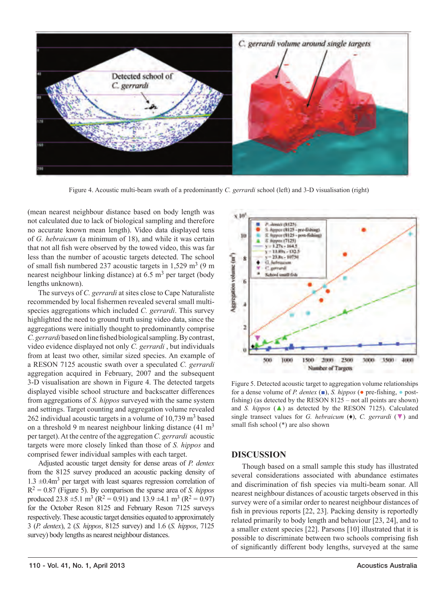

Figure 4. Acoustic multi-beam swath of a predominantly *C. gerrardi* school (left) and 3-D visualisation (right)

(mean nearest neighbour distance based on body length was not calculated due to lack of biological sampling and therefore no accurate known mean length). Video data displayed tens of *G. hebraicum* (a minimum of 18), and while it was certain that not all fish were observed by the towed video, this was far less than the number of acoustic targets detected. The school of small fish numbered 237 acoustic targets in  $1,529$  m<sup>3</sup> (9 m) nearest neighbour linking distance) at  $6.5 \text{ m}^3$  per target (body lengths unknown).

The surveys of *C. gerrardi* at sites close to Cape Naturaliste recommended by local fishermen revealed several small multispecies aggregations which included *C. gerrardi*. This survey highlighted the need to ground truth using video data, since the aggregations were initially thought to predominantly comprise *C. gerrardi* based on line fished biological sampling. By contrast, video evidence displayed not only *C. gerrardi* , but individuals from at least two other, similar sized species. An example of a RESON 7125 acoustic swath over a speculated *C. gerrardi*  aggregation acquired in February, 2007 and the subsequent 3-D visualisation are shown in Figure 4. The detected targets displayed visible school structure and backscatter differences from aggregations of *S. hippos* surveyed with the same system and settings. Target counting and aggregation volume revealed  $262$  individual acoustic targets in a volume of 10,739 m<sup>3</sup> based on a threshold 9 m nearest neighbour linking distance (41 m3 per target). At the centre of the aggregation *C. gerrardi* acoustic targets were more closely linked than those of *S. hippos* and comprised fewer individual samples with each target.

Adjusted acoustic target density for dense areas of *P. dentex* from the 8125 survey produced an acoustic packing density of 1.3 ±0.4m3 per target with least squares regression correlation of R2 = 0.87 (Figure 5). By comparison the sparse area of *S. hippos* produced  $23.8 \pm 5.1 \text{ m}^3 \text{ (R}^2 = 0.91)$  and  $13.9 \pm 4.1 \text{ m}^3 \text{ (R}^2 = 0.97)$ for the October Reson 8125 and February Reson 7125 surveys respectively. These acoustic target densities equated to approximately 3 (*P. dentex*), 2 (*S. hippos*, 8125 survey) and 1.6 (*S. hippos*, 7125 survey) body lengths as nearest neighbour distances.



Figure 5. Detected acoustic target to aggregation volume relationships for a dense volume of *P. dentex* (■), *S. hippos* (● pre-fishing, ● postfishing) (as detected by the RESON 8125 – not all points are shown) and *S. hippos* (▲) as detected by the RESON 7125). Calculated single transect values for *G. hebraicum* (♦), *C. gerrardi* (▼) and small fish school (\*) are also shown

#### **DISCUSSION**

Though based on a small sample this study has illustrated several considerations associated with abundance estimates and discrimination of fish species via multi-beam sonar. All nearest neighbour distances of acoustic targets observed in this survey were of a similar order to nearest neighbour distances of fish in previous reports [22, 23]. Packing density is reportedly related primarily to body length and behaviour [23, 24], and to a smaller extent species [22]. Parsons [10] illustrated that it is possible to discriminate between two schools comprising fish of significantly different body lengths, surveyed at the same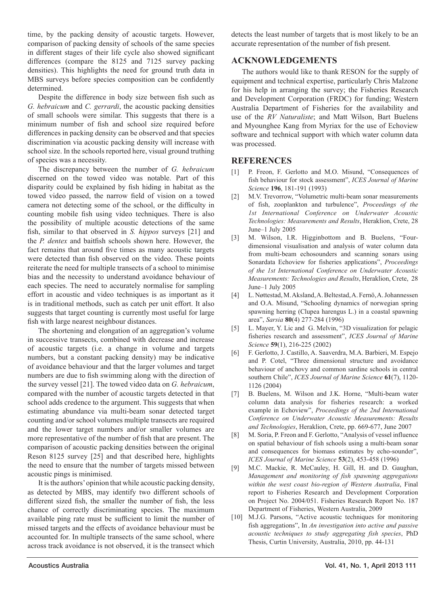time, by the packing density of acoustic targets. However, comparison of packing density of schools of the same species in different stages of their life cycle also showed significant differences (compare the 8125 and 7125 survey packing densities). This highlights the need for ground truth data in MBS surveys before species composition can be confidently determined.

Despite the difference in body size between fish such as *G. hebraicum* and *C. gerrardi*, the acoustic packing densities of small schools were similar. This suggests that there is a minimum number of fish and school size required before differences in packing density can be observed and that species discrimination via acoustic packing density will increase with school size. In the schools reported here, visual ground truthing of species was a necessity.

The discrepancy between the number of *G. hebraicum* discerned on the towed video was notable. Part of this disparity could be explained by fish hiding in habitat as the towed video passed, the narrow field of vision on a towed camera not detecting some of the school, or the difficulty in counting mobile fish using video techniques. There is also the possibility of multiple acoustic detections of the same fish, similar to that observed in *S. hippos* surveys [21] and the *P. dentex* and baitfish schools shown here. However, the fact remains that around five times as many acoustic targets were detected than fish observed on the video. These points reiterate the need for multiple transects of a school to minimise bias and the necessity to understand avoidance behaviour of each species. The need to accurately normalise for sampling effort in acoustic and video techniques is as important as it is in traditional methods, such as catch per unit effort. It also suggests that target counting is currently most useful for large fish with large nearest neighbour distances.

The shortening and elongation of an aggregation's volume in successive transects, combined with decrease and increase of acoustic targets (i.e. a change in volume and targets numbers, but a constant packing density) may be indicative of avoidance behaviour and that the larger volumes and target numbers are due to fish swimming along with the direction of the survey vessel [21]. The towed video data on *G. hebraicum*, compared with the number of acoustic targets detected in that school adds credence to the argument. This suggests that when estimating abundance via multi-beam sonar detected target counting and/or school volumes multiple transects are required and the lower target numbers and/or smaller volumes are more representative of the number of fish that are present. The comparison of acoustic packing densities between the original Reson 8125 survey [25] and that described here, highlights the need to ensure that the number of targets missed between acoustic pings is minimised.

It is the authors' opinion that while acoustic packing density, as detected by MBS, may identify two different schools of different sized fish, the smaller the number of fish, the less chance of correctly discriminating species. The maximum available ping rate must be sufficient to limit the number of missed targets and the effects of avoidance behaviour must be accounted for. In multiple transects of the same school, where across track avoidance is not observed, it is the transect which

detects the least number of targets that is most likely to be an accurate representation of the number of fish present.

#### **ACKNOWLEDGEMENTS**

The authors would like to thank RESON for the supply of equipment and technical expertise, particularly Chris Malzone for his help in arranging the survey; the Fisheries Research and Development Corporation (FRDC) for funding; Western Australia Department of Fisheries for the availability and use of the *RV Naturaliste*; and Matt Wilson, Bart Buelens and Myounghee Kang from Myriax for the use of Echoview software and technical support with which water column data was processed.

### **REFERENCES**

- [1] P. Freon, F. Gerlotto and M.O. Misund, "Consequences of fish behaviour for stock assessment", *ICES Journal of Marine Science* **196**, 181-191 (1993)
- [2] M.V. Trevorrow, "Volumetric multi-beam sonar measurements of fish, zooplankton and turbulence", *Proceedings of the 1st International Conference on Underwater Acoustic Technologies: Measurements and Results*, Heraklion, Crete, 28 June–1 July 2005
- [3] M. Wilson, I.R. Higginbottom and B. Buelens, "Fourdimensional visualisation and analysis of water column data from multi-beam echosounders and scanning sonars using Sonardata Echoview for fisheries applications", *Proceedings of the 1st International Conference on Underwater Acoustic Measurements: Technologies and Results*, Heraklion, Crete, 28 June–1 July 2005
- [4] L. Nøttestad, M. Aksland, A. Beltestad, A. Fernö, A. Johannessen and O.A. Misund, "Schooling dynamics of norwegian spring spawning herring (Clupea harengus L.) in a coastal spawning area", *Sarsia* **80**(4) 277-284 (1996)
- [5] L. Mayer, Y. Lic and G. Melvin, "3D visualization for pelagic fisheries research and assessment", *ICES Journal of Marine Science* **59**(1), 216-225 (2002)
- [6] F. Gerlotto, J. Castillo, A. Saaverdra, M.A. Barbieri, M. Espejo and P. Cotel, "Three dimensional structure and avoidance behaviour of anchovy and common sardine schools in central southern Chile", *ICES Journal of Marine Science* **61**(7), 1120- 1126 (2004)
- [7] B. Buelens, M. Wilson and J.K. Horne, "Multi-beam water column data analysis for fisheries research: a worked example in Echoview", *Proceedings of the 2nd International Conference on Underwater Acoustic Measurements: Results and Technologies*, Heraklion, Crete, pp. 669-677, June 2007
- [8] M. Soria, P. Freon and F. Gerlotto, "Analysis of vessel influence on spatial behaviour of fish schools using a multi-beam sonar and consequences for biomass estimates by echo-sounder", *ICES Journal of Marine Science* **53**(2), 453-458 (1996)
- [9] M.C. Mackie, R. McCauley, H. Gill, H. and D. Gaughan, *Management and monitoring of fish spawning aggregations within the west coast bio-region of Western Australia*, Final report to Fisheries Research and Development Corporation on Project No. 2004/051. Fisheries Research Report No. 187 Department of Fisheries, Western Australia, 2009
- [10] M.J.G. Parsons, "Active acoustic techniques for monitoring fish aggregations", In *An investigation into active and passive acoustic techniques to study aggregating fish species*, PhD Thesis, Curtin University, Australia, 2010, pp. 44-131